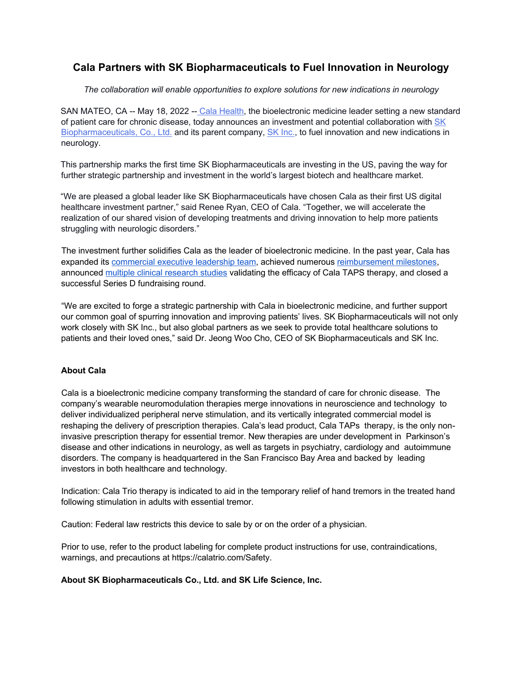## **Cala Partners with SK Biopharmaceuticals to Fuel Innovation in Neurology**

*The collaboration will enable opportunities to explore solutions for new indications in neurology* 

SAN MATEO, CA -- May 18, 2022 -- Cala Health, the bioelectronic medicine leader setting a new standard of patient care for chronic disease, today announces an investment and potential collaboration with SK Biopharmaceuticals, Co., Ltd. and its parent company, SK Inc., to fuel innovation and new indications in neurology.

This partnership marks the first time SK Biopharmaceuticals are investing in the US, paving the way for further strategic partnership and investment in the world's largest biotech and healthcare market.

"We are pleased a global leader like SK Biopharmaceuticals have chosen Cala as their first US digital healthcare investment partner," said Renee Ryan, CEO of Cala. "Together, we will accelerate the realization of our shared vision of developing treatments and driving innovation to help more patients struggling with neurologic disorders."

The investment further solidifies Cala as the leader of bioelectronic medicine. In the past year, Cala has expanded its commercial executive leadership team, achieved numerous reimbursement milestones, announced multiple clinical research studies validating the efficacy of Cala TAPS therapy, and closed a successful Series D fundraising round.

"We are excited to forge a strategic partnership with Cala in bioelectronic medicine, and further support our common goal of spurring innovation and improving patients' lives. SK Biopharmaceuticals will not only work closely with SK Inc., but also global partners as we seek to provide total healthcare solutions to patients and their loved ones," said Dr. Jeong Woo Cho, CEO of SK Biopharmaceuticals and SK Inc.

## **About Cala**

Cala is a bioelectronic medicine company transforming the standard of care for chronic disease. The company's wearable neuromodulation therapies merge innovations in neuroscience and technology to deliver individualized peripheral nerve stimulation, and its vertically integrated commercial model is reshaping the delivery of prescription therapies. Cala's lead product, Cala TAPs therapy, is the only noninvasive prescription therapy for essential tremor. New therapies are under development in Parkinson's disease and other indications in neurology, as well as targets in psychiatry, cardiology and autoimmune disorders. The company is headquartered in the San Francisco Bay Area and backed by leading investors in both healthcare and technology.

Indication: Cala Trio therapy is indicated to aid in the temporary relief of hand tremors in the treated hand following stimulation in adults with essential tremor.

Caution: Federal law restricts this device to sale by or on the order of a physician.

Prior to use, refer to the product labeling for complete product instructions for use, contraindications, warnings, and precautions at https://calatrio.com/Safety.

## **About SK Biopharmaceuticals Co., Ltd. and SK Life Science, Inc.**